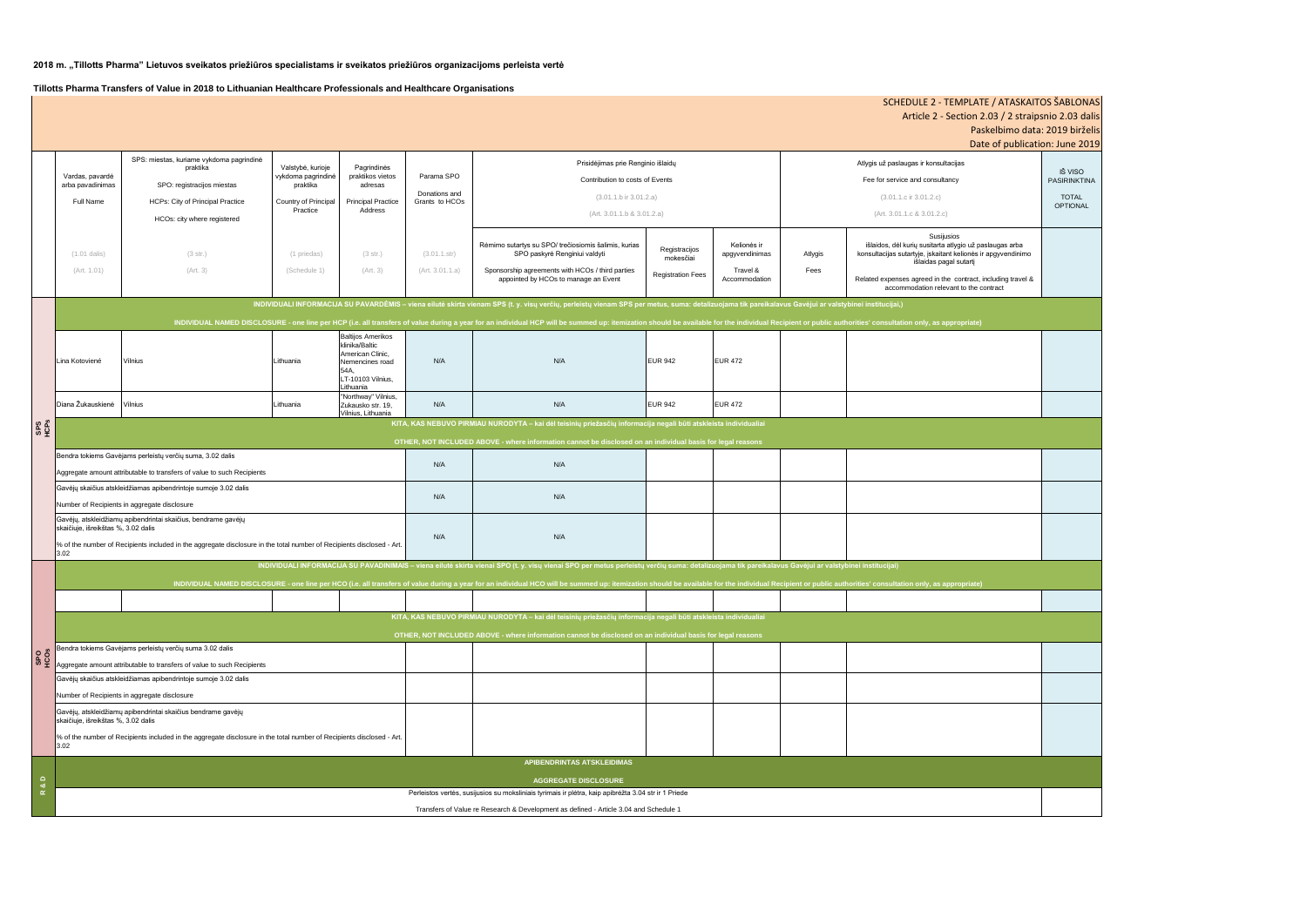# **2018 m. "Tillotts Pharma" Lietuvos sveikatos priežiūros specialistams ir sveikatos priežiūros organizacijoms perleista vertė**

**Tillotts Pharma Transfers of Value in 2018 to Lithuanian Healthcare Professionals and Healthcare Organisations**

| SCHEDULE 2 - TEMPLATE / ATASKAITOS ŠABLONAS        |                                                                                                                                                                                                                                                                                                                                                                                                                                         |                                                                                                      |                                                                                    |                                                                                                                |                                               |                                                                                                                                                                                                                                |                            |                               |                                                        |                                                                                                                                                   |                 |  |
|----------------------------------------------------|-----------------------------------------------------------------------------------------------------------------------------------------------------------------------------------------------------------------------------------------------------------------------------------------------------------------------------------------------------------------------------------------------------------------------------------------|------------------------------------------------------------------------------------------------------|------------------------------------------------------------------------------------|----------------------------------------------------------------------------------------------------------------|-----------------------------------------------|--------------------------------------------------------------------------------------------------------------------------------------------------------------------------------------------------------------------------------|----------------------------|-------------------------------|--------------------------------------------------------|---------------------------------------------------------------------------------------------------------------------------------------------------|-----------------|--|
| Article 2 - Section 2.03 / 2 straipsnio 2.03 dalis |                                                                                                                                                                                                                                                                                                                                                                                                                                         |                                                                                                      |                                                                                    |                                                                                                                |                                               |                                                                                                                                                                                                                                |                            |                               |                                                        |                                                                                                                                                   |                 |  |
|                                                    |                                                                                                                                                                                                                                                                                                                                                                                                                                         |                                                                                                      |                                                                                    |                                                                                                                |                                               |                                                                                                                                                                                                                                |                            |                               |                                                        | Paskelbimo data: 2019 birželis<br>Date of publication: June 2019                                                                                  |                 |  |
|                                                    |                                                                                                                                                                                                                                                                                                                                                                                                                                         | SPS: miestas, kuriame vykdoma pagrindinė<br>praktika<br>SPO: registracijos miestas                   | Valstybė, kurioje<br>vykdoma pagrindinė<br>praktika<br><b>Country of Principal</b> | Pagrindinės<br>praktikos vietos<br>adresas<br><b>Principal Practice</b>                                        | Parama SPO<br>Donations and<br>Grants to HCOs | Prisidėjimas prie Renginio išlaidų                                                                                                                                                                                             |                            |                               |                                                        | Atlygis už paslaugas ir konsultacijas                                                                                                             | IŠ VISO         |  |
|                                                    | Vardas, pavardė<br>arba pavadinimas                                                                                                                                                                                                                                                                                                                                                                                                     |                                                                                                      |                                                                                    |                                                                                                                |                                               | Contribution to costs of Events                                                                                                                                                                                                |                            |                               | Fee for service and consultancy<br><b>PASIRINKTINA</b> |                                                                                                                                                   |                 |  |
|                                                    | Full Name                                                                                                                                                                                                                                                                                                                                                                                                                               | <b>HCPs: City of Principal Practice</b>                                                              |                                                                                    |                                                                                                                |                                               | $(3.01.1.b)$ ir $3.01.2.a)$                                                                                                                                                                                                    |                            |                               |                                                        | $(3.01.1.c$ ir $3.01.2.c)$                                                                                                                        | <b>TOTAL</b>    |  |
|                                                    |                                                                                                                                                                                                                                                                                                                                                                                                                                         | Practice<br>Address<br>HCOs: city where registered                                                   |                                                                                    |                                                                                                                |                                               | (Art. 3.01.1.b & 3.01.2.a)                                                                                                                                                                                                     |                            |                               |                                                        | (Art. 3.01.1.c & 3.01.2.c)                                                                                                                        | <b>OPTIONAL</b> |  |
|                                                    |                                                                                                                                                                                                                                                                                                                                                                                                                                         |                                                                                                      |                                                                                    |                                                                                                                |                                               |                                                                                                                                                                                                                                |                            |                               |                                                        | Susijusios                                                                                                                                        |                 |  |
|                                                    | $(1.01$ dalis)                                                                                                                                                                                                                                                                                                                                                                                                                          | (3 str.)                                                                                             | (1 priedas)                                                                        | (3 str.)                                                                                                       | (3.01.1.str)                                  | Rėmimo sutartys su SPO/ trečiosiomis šalimis, kurias<br>SPO paskyrė Renginiui valdyti                                                                                                                                          | Registracijos<br>mokesčiai | Kelionės ir<br>apgyvendinimas | Atlygis                                                | išlaidos, dėl kurių susitarta atlygio už paslaugas arba<br>konsultacijas sutartyje, įskaitant kelionės ir apgyvendinimo<br>išlaidas pagal sutartį |                 |  |
|                                                    | (Art. 1.01)                                                                                                                                                                                                                                                                                                                                                                                                                             | (Art. 3)                                                                                             | (Schedule 1)                                                                       | (Art. 3)                                                                                                       | (Art. 3.01.1.a)                               | Sponsorship agreements with HCOs / third parties<br>appointed by HCOs to manage an Event                                                                                                                                       | <b>Registration Fees</b>   | Travel &<br>Accommodation     | Fees                                                   | Related expenses agreed in the contract, including travel &<br>accommodation relevant to the contract                                             |                 |  |
|                                                    |                                                                                                                                                                                                                                                                                                                                                                                                                                         |                                                                                                      |                                                                                    |                                                                                                                |                                               |                                                                                                                                                                                                                                |                            |                               |                                                        |                                                                                                                                                   |                 |  |
|                                                    | INDIVIDUALI INFORMACIJA SU PAVARDĖMIS - viena eilutė skirta vienam SPS (t. y. visų verčių, perleistų vienam SPS per metus, suma: detalizuojama tik pareikalavus Gavėjui ar valstybinei institucijai,)<br>INDIVIDUAL NAMED DISCLOSURE - one line per HCP (i.e. all transfers of value during a year for an individual HCP will be summed up: itemization should be available for the individual Recipient or public authorities' consult |                                                                                                      |                                                                                    |                                                                                                                |                                               |                                                                                                                                                                                                                                |                            |                               |                                                        |                                                                                                                                                   |                 |  |
| និត្ត                                              |                                                                                                                                                                                                                                                                                                                                                                                                                                         |                                                                                                      |                                                                                    |                                                                                                                |                                               |                                                                                                                                                                                                                                |                            |                               |                                                        |                                                                                                                                                   |                 |  |
|                                                    | Lina Kotoviené                                                                                                                                                                                                                                                                                                                                                                                                                          | Vilnius                                                                                              | Lithuania                                                                          | <b>Baltijos Amerikos</b><br>klinika/Baltic<br>American Clinic,<br>Nemencines road<br>54A.<br>LT-10103 Vilnius, | N/A                                           | N/A                                                                                                                                                                                                                            | <b>EUR 942</b>             | <b>EUR 472</b>                |                                                        |                                                                                                                                                   |                 |  |
|                                                    |                                                                                                                                                                                                                                                                                                                                                                                                                                         |                                                                                                      |                                                                                    | Lithuania<br>"Northway" Vilnius,                                                                               |                                               |                                                                                                                                                                                                                                |                            |                               |                                                        |                                                                                                                                                   |                 |  |
|                                                    | Diana Žukauskienė                                                                                                                                                                                                                                                                                                                                                                                                                       | Vilnius                                                                                              | Lithuania                                                                          | Zukausko str. 19,<br>Vilnius, Lithuania                                                                        | N/A                                           | N/A                                                                                                                                                                                                                            | <b>EUR 942</b>             | <b>EUR 472</b>                |                                                        |                                                                                                                                                   |                 |  |
|                                                    | KITA, KAS NEBUVO PIRMIAU NURODYTA - kai dėl teisinių priežasčių informacija negali būti atskleista individualiai                                                                                                                                                                                                                                                                                                                        |                                                                                                      |                                                                                    |                                                                                                                |                                               |                                                                                                                                                                                                                                |                            |                               |                                                        |                                                                                                                                                   |                 |  |
|                                                    | OTHER, NOT INCLUDED ABOVE - where information cannot be disclosed on an individual basis for legal reasons                                                                                                                                                                                                                                                                                                                              |                                                                                                      |                                                                                    |                                                                                                                |                                               |                                                                                                                                                                                                                                |                            |                               |                                                        |                                                                                                                                                   |                 |  |
|                                                    | Bendra tokiems Gavėjams perleistų verčių suma, 3.02 dalis                                                                                                                                                                                                                                                                                                                                                                               |                                                                                                      |                                                                                    |                                                                                                                | N/A                                           | N/A                                                                                                                                                                                                                            |                            |                               |                                                        |                                                                                                                                                   |                 |  |
|                                                    | Aggregate amount attributable to transfers of value to such Recipients                                                                                                                                                                                                                                                                                                                                                                  |                                                                                                      |                                                                                    |                                                                                                                |                                               |                                                                                                                                                                                                                                |                            |                               |                                                        |                                                                                                                                                   |                 |  |
|                                                    | Gavėjų skaičius atskleidžiamas apibendrintoje sumoje 3.02 dalis                                                                                                                                                                                                                                                                                                                                                                         |                                                                                                      |                                                                                    |                                                                                                                | N/A                                           | N/A                                                                                                                                                                                                                            |                            |                               |                                                        |                                                                                                                                                   |                 |  |
|                                                    | Number of Recipients in aggregate disclosure                                                                                                                                                                                                                                                                                                                                                                                            |                                                                                                      |                                                                                    |                                                                                                                |                                               |                                                                                                                                                                                                                                |                            |                               |                                                        |                                                                                                                                                   |                 |  |
|                                                    | Gavėjų, atskleidžiamų apibendrintai skaičius, bendrame gavėjų<br>skaičiuje, išreikštas %, 3.02 dalis                                                                                                                                                                                                                                                                                                                                    |                                                                                                      |                                                                                    |                                                                                                                | N/A                                           | N/A                                                                                                                                                                                                                            |                            |                               |                                                        |                                                                                                                                                   |                 |  |
|                                                    | % of the number of Recipients included in the aggregate disclosure in the total number of Recipients disclosed - Art.<br>3.02                                                                                                                                                                                                                                                                                                           |                                                                                                      |                                                                                    |                                                                                                                |                                               |                                                                                                                                                                                                                                |                            |                               |                                                        |                                                                                                                                                   |                 |  |
|                                                    | INDIVIDUALI INFORMACIJA SU PAVADINIMAIS - viena eilutė skirta vienai SPO (t. y. visų vienai SPO per metus perleistų verčių suma: detalizuojama tik pareikalavus Gavėjui ar valstybinei institucijai)                                                                                                                                                                                                                                    |                                                                                                      |                                                                                    |                                                                                                                |                                               |                                                                                                                                                                                                                                |                            |                               |                                                        |                                                                                                                                                   |                 |  |
|                                                    |                                                                                                                                                                                                                                                                                                                                                                                                                                         |                                                                                                      |                                                                                    |                                                                                                                |                                               | INDIVIDUAL NAMED DISCLOSURE - one line per HCO (i.e. all transfers of value during a year for an individual HCO will be summed up: itemization should be available for the individual Recipient or public authorities' consult |                            |                               |                                                        |                                                                                                                                                   |                 |  |
|                                                    |                                                                                                                                                                                                                                                                                                                                                                                                                                         |                                                                                                      |                                                                                    |                                                                                                                |                                               |                                                                                                                                                                                                                                |                            |                               |                                                        |                                                                                                                                                   |                 |  |
|                                                    | KITA, KAS NEBUVO PIRMIAU NURODYTA - kai dėl teisinių priežasčių informacija negali būti atskleista individualiai                                                                                                                                                                                                                                                                                                                        |                                                                                                      |                                                                                    |                                                                                                                |                                               |                                                                                                                                                                                                                                |                            |                               |                                                        |                                                                                                                                                   |                 |  |
|                                                    | OTHER, NOT INCLUDED ABOVE - where information cannot be disclosed on an individual basis for legal reasons                                                                                                                                                                                                                                                                                                                              |                                                                                                      |                                                                                    |                                                                                                                |                                               |                                                                                                                                                                                                                                |                            |                               |                                                        |                                                                                                                                                   |                 |  |
| SPO<br>ORS                                         |                                                                                                                                                                                                                                                                                                                                                                                                                                         | Bendra tokiems Gavėjams perleistų verčių suma 3.02 dalis                                             |                                                                                    |                                                                                                                |                                               |                                                                                                                                                                                                                                |                            |                               |                                                        |                                                                                                                                                   |                 |  |
|                                                    | Aggregate amount attributable to transfers of value to such Recipients                                                                                                                                                                                                                                                                                                                                                                  |                                                                                                      |                                                                                    |                                                                                                                |                                               |                                                                                                                                                                                                                                |                            |                               |                                                        |                                                                                                                                                   |                 |  |
|                                                    | Gavėjų skaičius atskleidžiamas apibendrintoje sumoje 3.02 dalis                                                                                                                                                                                                                                                                                                                                                                         |                                                                                                      |                                                                                    |                                                                                                                |                                               |                                                                                                                                                                                                                                |                            |                               |                                                        |                                                                                                                                                   |                 |  |
|                                                    | Number of Recipients in aggregate disclosure                                                                                                                                                                                                                                                                                                                                                                                            |                                                                                                      |                                                                                    |                                                                                                                |                                               |                                                                                                                                                                                                                                |                            |                               |                                                        |                                                                                                                                                   |                 |  |
|                                                    | Gavėjų, atskleidžiamų apibendrintai skaičius bendrame gavėjų<br>skaičiuje, išreikštas %, 3.02 dalis                                                                                                                                                                                                                                                                                                                                     |                                                                                                      |                                                                                    |                                                                                                                |                                               |                                                                                                                                                                                                                                |                            |                               |                                                        |                                                                                                                                                   |                 |  |
|                                                    | % of the number of Recipients included in the aggregate disclosure in the total number of Recipients disclosed - Art.<br>3.02                                                                                                                                                                                                                                                                                                           |                                                                                                      |                                                                                    |                                                                                                                |                                               |                                                                                                                                                                                                                                |                            |                               |                                                        |                                                                                                                                                   |                 |  |
|                                                    | APIBENDRINTAS ATSKLEIDIMAS                                                                                                                                                                                                                                                                                                                                                                                                              |                                                                                                      |                                                                                    |                                                                                                                |                                               |                                                                                                                                                                                                                                |                            |                               |                                                        |                                                                                                                                                   |                 |  |
| $\frac{a}{8}$                                      | <b>AGGREGATE DISCLOSURE</b>                                                                                                                                                                                                                                                                                                                                                                                                             |                                                                                                      |                                                                                    |                                                                                                                |                                               |                                                                                                                                                                                                                                |                            |                               |                                                        |                                                                                                                                                   |                 |  |
| $\propto$                                          |                                                                                                                                                                                                                                                                                                                                                                                                                                         | Perleistos vertės, susijusios su moksliniais tyrimais ir plėtra, kaip apibrėžta 3.04 str ir 1 Priede |                                                                                    |                                                                                                                |                                               |                                                                                                                                                                                                                                |                            |                               |                                                        |                                                                                                                                                   |                 |  |
|                                                    |                                                                                                                                                                                                                                                                                                                                                                                                                                         | Transfers of Value re Research & Development as defined - Article 3.04 and Schedule 1                |                                                                                    |                                                                                                                |                                               |                                                                                                                                                                                                                                |                            |                               |                                                        |                                                                                                                                                   |                 |  |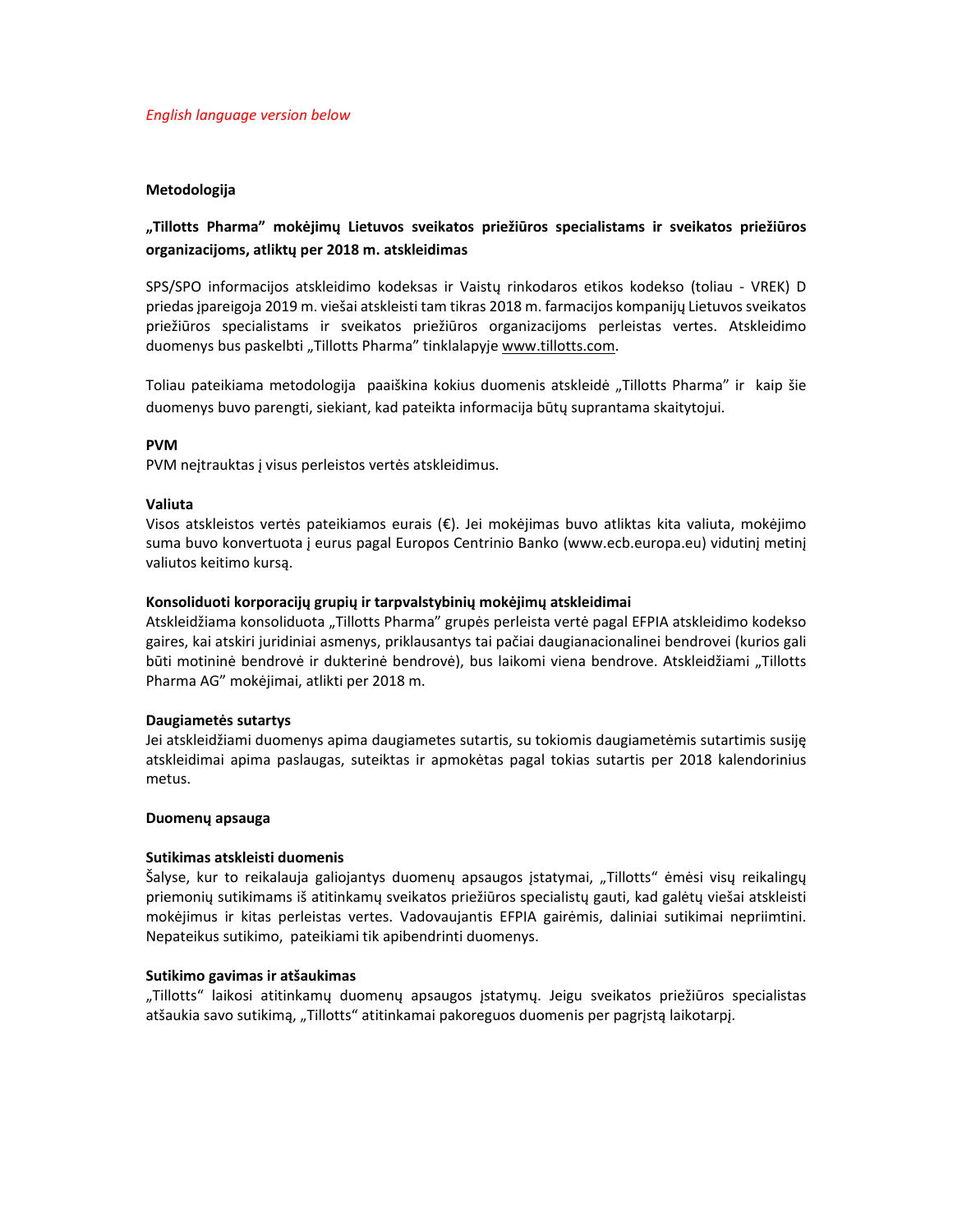# **Metodologija**

# **"Tillotts Pharma" mokėjimų Lietuvos sveikatos priežiūros specialistams ir sveikatos priežiūros organizacijoms, atliktų per 2018 m. atskleidimas**

SPS/SPO informacijos atskleidimo kodeksas ir Vaistų rinkodaros etikos kodekso (toliau ‐ VREK) D priedas įpareigoja 2019 m. viešai atskleisti tam tikras 2018 m. farmacijos kompanijų Lietuvos sveikatos priežiūros specialistams ir sveikatos priežiūros organizacijoms perleistas vertes. Atskleidimo duomenys bus paskelbti "Tillotts Pharma" tinklalapyje www.tillotts.com.

Toliau pateikiama metodologija paaiškina kokius duomenis atskleidė "Tillotts Pharma" ir kaip šie duomenys buvo parengti, siekiant, kad pateikta informacija būtų suprantama skaitytojui.

# **PVM**

PVM neįtrauktas į visus perleistos vertės atskleidimus.

## **Valiuta**

Visos atskleistos vertės pateikiamos eurais (€). Jei mokėjimas buvo atliktas kita valiuta, mokėjimo suma buvo konvertuota į eurus pagal Europos Centrinio Banko (www.ecb.europa.eu) vidutinį metinį valiutos keitimo kursą.

# **Konsoliduoti korporacijų grupių ir tarpvalstybinių mokėjimų atskleidimai**

Atskleidžiama konsoliduota "Tillotts Pharma" grupės perleista vertė pagal EFPIA atskleidimo kodekso gaires, kai atskiri juridiniai asmenys, priklausantys tai pačiai daugianacionalinei bendrovei (kurios gali būti motininė bendrovė ir dukterinė bendrovė), bus laikomi viena bendrove. Atskleidžiami "Tillotts Pharma AG" mokėjimai, atlikti per 2018 m.

## **Daugiametės sutartys**

Jei atskleidžiami duomenys apima daugiametes sutartis, su tokiomis daugiametėmis sutartimis susiję atskleidimai apima paslaugas, suteiktas ir apmokėtas pagal tokias sutartis per 2018 kalendorinius metus.

## **Duomenų apsauga**

## **Sutikimas atskleisti duomenis**

Šalyse, kur to reikalauja galiojantys duomenų apsaugos įstatymai, "Tillotts" ėmėsi visų reikalingų priemonių sutikimams iš atitinkamų sveikatos priežiūros specialistų gauti, kad galėtų viešai atskleisti mokėjimus ir kitas perleistas vertes. Vadovaujantis EFPIA gairėmis, daliniai sutikimai nepriimtini. Nepateikus sutikimo, pateikiami tik apibendrinti duomenys.

## **Sutikimo gavimas ir atšaukimas**

"Tillotts" laikosi atitinkamų duomenų apsaugos įstatymų. Jeigu sveikatos priežiūros specialistas atšaukia savo sutikimą, "Tillotts" atitinkamai pakoreguos duomenis per pagrįstą laikotarpį.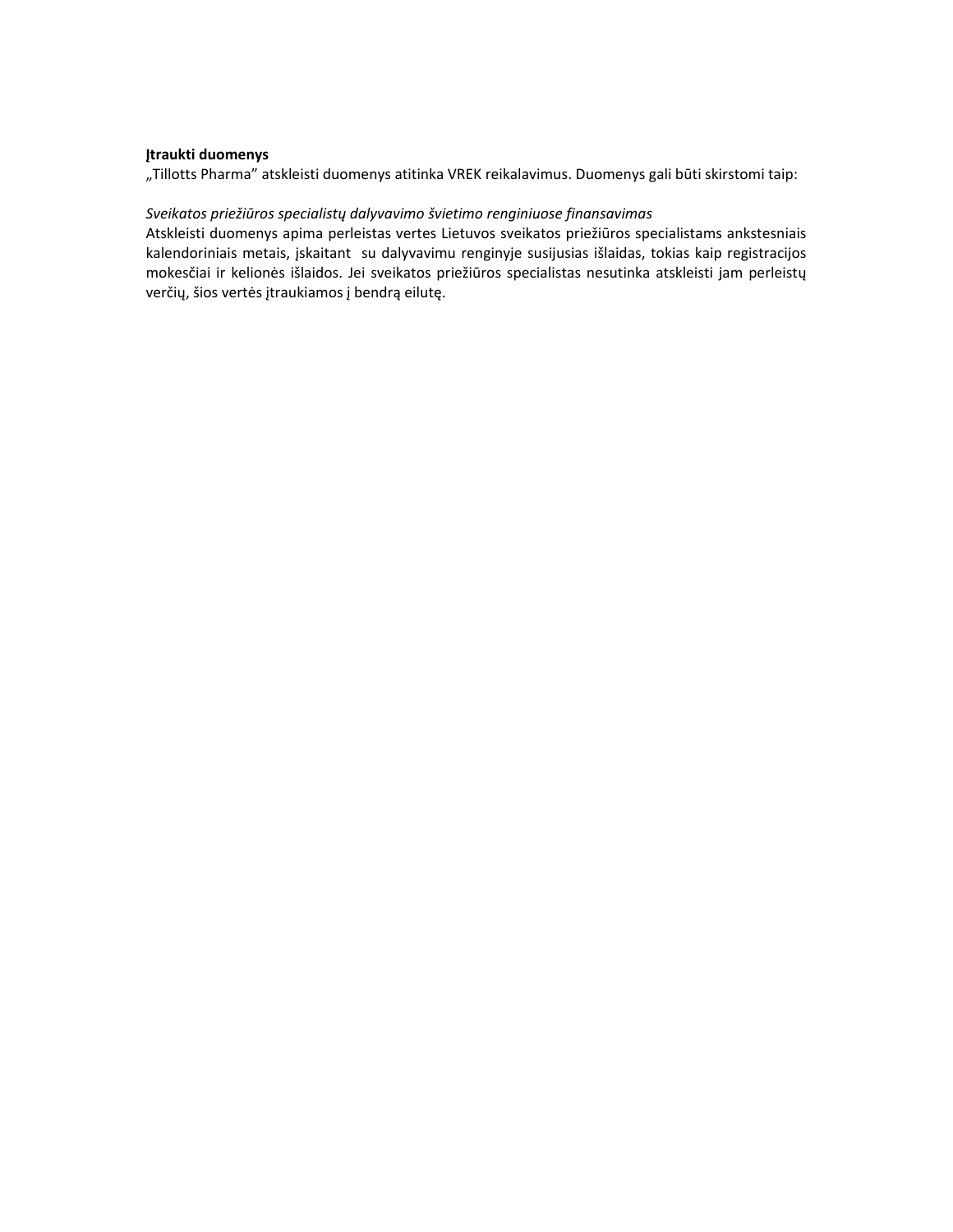# **Įtraukti duomenys**

"Tillotts Pharma" atskleisti duomenys atitinka VREK reikalavimus. Duomenys gali būti skirstomi taip:

# *Sveikatos priežiūros specialistų dalyvavimo švietimo renginiuose finansavimas*

Atskleisti duomenys apima perleistas vertes Lietuvos sveikatos priežiūros specialistams ankstesniais kalendoriniais metais, įskaitant su dalyvavimu renginyje susijusias išlaidas, tokias kaip registracijos mokesčiai ir kelionės išlaidos. Jei sveikatos priežiūros specialistas nesutinka atskleisti jam perleistų verčių, šios vertės įtraukiamos į bendrą eilutę.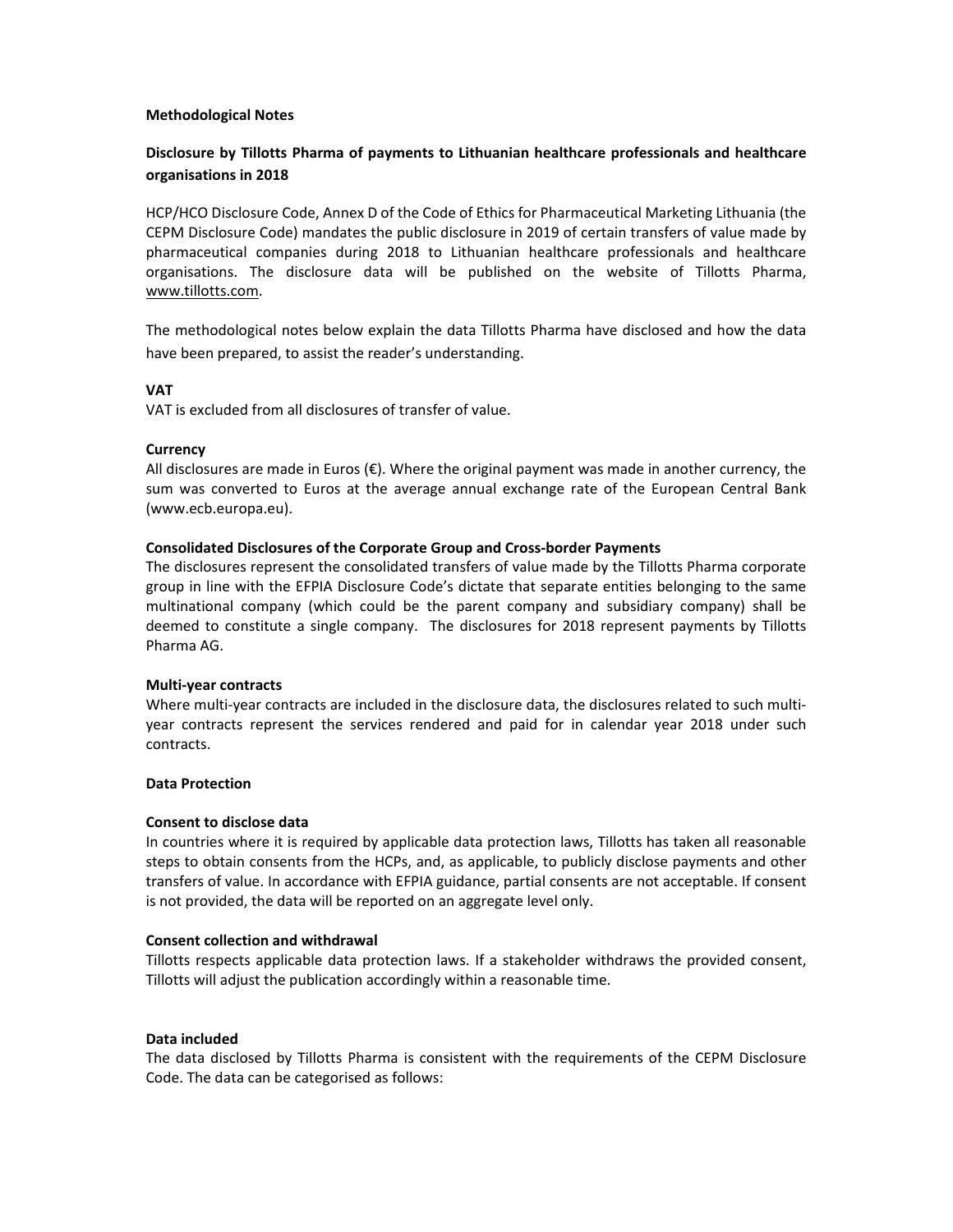## **Methodological Notes**

# **Disclosure by Tillotts Pharma of payments to Lithuanian healthcare professionals and healthcare organisations in 2018**

HCP/HCO Disclosure Code, Annex D of the Code of Ethics for Pharmaceutical Marketing Lithuania (the CEPM Disclosure Code) mandates the public disclosure in 2019 of certain transfers of value made by pharmaceutical companies during 2018 to Lithuanian healthcare professionals and healthcare organisations. The disclosure data will be published on the website of Tillotts Pharma, www.tillotts.com.

The methodological notes below explain the data Tillotts Pharma have disclosed and how the data have been prepared, to assist the reader's understanding.

# **VAT**

VAT is excluded from all disclosures of transfer of value.

# **Currency**

All disclosures are made in Euros  $(\epsilon)$ . Where the original payment was made in another currency, the sum was converted to Euros at the average annual exchange rate of the European Central Bank (www.ecb.europa.eu).

# **Consolidated Disclosures of the Corporate Group and Cross‐border Payments**

The disclosures represent the consolidated transfers of value made by the Tillotts Pharma corporate group in line with the EFPIA Disclosure Code's dictate that separate entities belonging to the same multinational company (which could be the parent company and subsidiary company) shall be deemed to constitute a single company. The disclosures for 2018 represent payments by Tillotts Pharma AG.

## **Multi‐year contracts**

Where multi-year contracts are included in the disclosure data, the disclosures related to such multiyear contracts represent the services rendered and paid for in calendar year 2018 under such contracts.

## **Data Protection**

## **Consent to disclose data**

In countries where it is required by applicable data protection laws, Tillotts has taken all reasonable steps to obtain consents from the HCPs, and, as applicable, to publicly disclose payments and other transfers of value. In accordance with EFPIA guidance, partial consents are not acceptable. If consent is not provided, the data will be reported on an aggregate level only.

## **Consent collection and withdrawal**

Tillotts respects applicable data protection laws. If a stakeholder withdraws the provided consent, Tillotts will adjust the publication accordingly within a reasonable time.

## **Data included**

The data disclosed by Tillotts Pharma is consistent with the requirements of the CEPM Disclosure Code. The data can be categorised as follows: